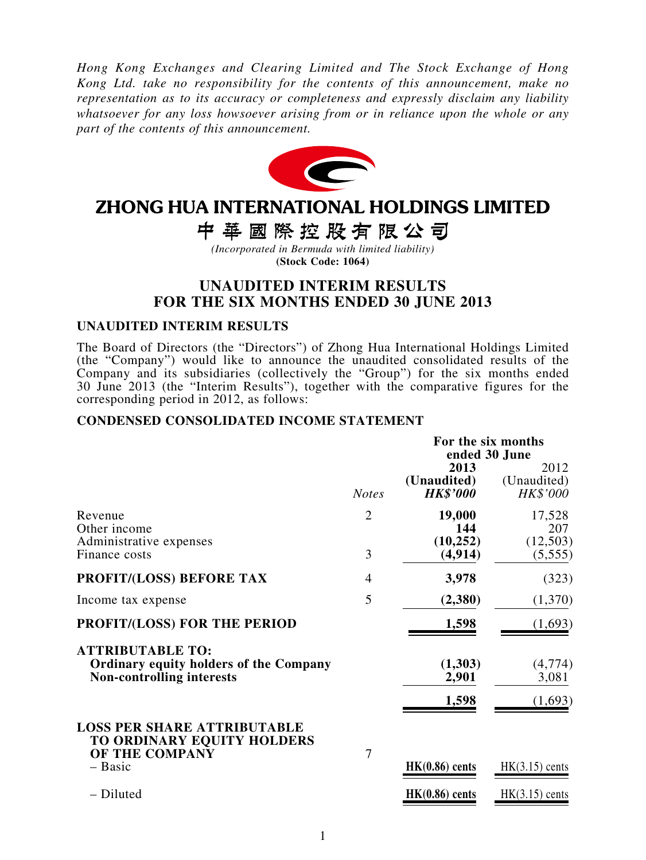*Hong Kong Exchanges and Clearing Limited and The Stock Exchange of Hong Kong Ltd. take no responsibility for the contents of this announcement, make no representation as to its accuracy or completeness and expressly disclaim any liability whatsoever for any loss howsoever arising from or in reliance upon the whole or any part of the contents of this announcement.*



# ZHONG HUA INTERNATIONAL HOLDINGS LIMITED

中華國際控股有限公司

*(Incorporated in Bermuda with limited liability)* **(Stock Code: 1064)**

### **UNAUDITED INTERIM RESULTS FOR THE SIX MONTHS ENDED 30 JUNE 2013**

#### **UNAUDITED INTERIM RESULTS**

The Board of Directors (the "Directors") of Zhong Hua International Holdings Limited (the "Company") would like to announce the unaudited consolidated results of the Company and its subsidiaries (collectively the "Group") for the six months ended 30 June 2013 (the "Interim Results"), together with the comparative figures for the corresponding period in 2012, as follows:

#### **CONDENSED CONSOLIDATED INCOME STATEMENT**

|                                                                                                              |                | For the six months<br>ended 30 June    |                                 |  |  |
|--------------------------------------------------------------------------------------------------------------|----------------|----------------------------------------|---------------------------------|--|--|
|                                                                                                              | <b>Notes</b>   | 2013<br>(Unaudited)<br><b>HK\$'000</b> | 2012<br>(Unaudited)<br>HK\$'000 |  |  |
| Revenue<br>Other income<br>Administrative expenses                                                           | $\overline{2}$ | 19,000<br>144<br>(10, 252)             | 17,528<br>207<br>(12,503)       |  |  |
| Finance costs                                                                                                | 3              | (4, 914)                               | (5,555)                         |  |  |
| <b>PROFIT/(LOSS) BEFORE TAX</b>                                                                              | 4              | 3,978                                  | (323)                           |  |  |
| Income tax expense                                                                                           | 5              | (2,380)                                | (1,370)                         |  |  |
| PROFIT/(LOSS) FOR THE PERIOD                                                                                 |                | 1,598                                  | (1,693)                         |  |  |
| <b>ATTRIBUTABLE TO:</b><br><b>Ordinary equity holders of the Company</b><br><b>Non-controlling interests</b> |                | (1,303)<br>2,901                       | (4,774)<br>3,081                |  |  |
|                                                                                                              |                | 1,598                                  | (1,693)                         |  |  |
| <b>LOSS PER SHARE ATTRIBUTABLE</b><br>TO ORDINARY EQUITY HOLDERS<br>OF THE COMPANY                           | 7              |                                        |                                 |  |  |
| $-$ Basic                                                                                                    |                | $HK(0.86)$ cents                       | $HK(3.15)$ cents                |  |  |
| - Diluted                                                                                                    |                | $HK(0.86)$ cents                       | $HK(3.15)$ cents                |  |  |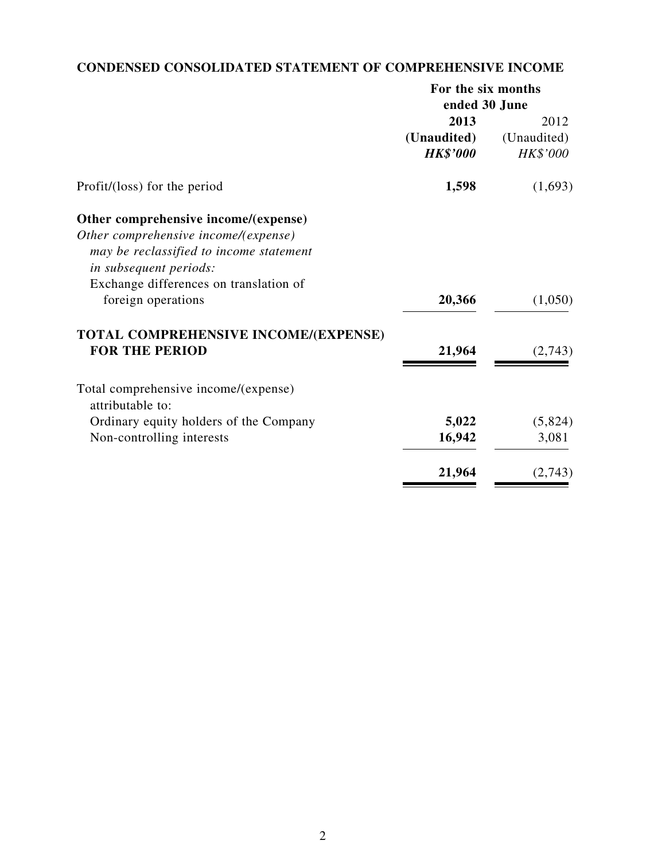# **CONDENSED CONSOLIDATED STATEMENT OF COMPREHENSIVE INCOME**

|                                         | For the six months |             |  |
|-----------------------------------------|--------------------|-------------|--|
|                                         | ended 30 June      |             |  |
|                                         | 2013               | 2012        |  |
| (Unaudited)                             |                    | (Unaudited) |  |
|                                         | <b>HK\$'000</b>    | HK\$'000    |  |
| Profit/(loss) for the period            | 1,598              | (1,693)     |  |
| Other comprehensive income/(expense)    |                    |             |  |
| Other comprehensive income/(expense)    |                    |             |  |
| may be reclassified to income statement |                    |             |  |
| <i>in subsequent periods:</i>           |                    |             |  |
| Exchange differences on translation of  |                    |             |  |
| foreign operations                      | 20,366             | (1,050)     |  |
| TOTAL COMPREHENSIVE INCOME/(EXPENSE)    |                    |             |  |
| <b>FOR THE PERIOD</b>                   | 21,964             | (2,743)     |  |
| Total comprehensive income/(expense)    |                    |             |  |
| attributable to:                        |                    |             |  |
| Ordinary equity holders of the Company  | 5,022              | (5,824)     |  |
| Non-controlling interests               | 16,942             | 3,081       |  |
|                                         | 21,964             | (2,743)     |  |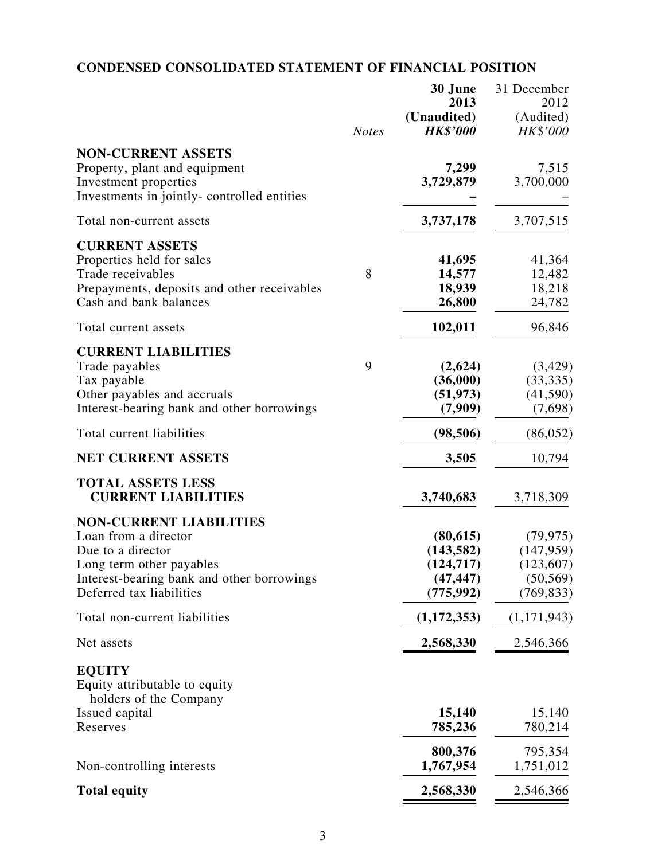# **CONDENSED CONSOLIDATED STATEMENT OF FINANCIAL POSITION**

|                                                                                                                                                                                   | <b>Notes</b> | 30 June<br>2013<br>(Unaudited)<br><b>HK\$'000</b>                | 31 December<br>2012<br>(Audited)<br>HK\$'000                     |
|-----------------------------------------------------------------------------------------------------------------------------------------------------------------------------------|--------------|------------------------------------------------------------------|------------------------------------------------------------------|
| <b>NON-CURRENT ASSETS</b><br>Property, plant and equipment<br>Investment properties<br>Investments in jointly-controlled entities                                                 |              | 7,299<br>3,729,879                                               | 7,515<br>3,700,000                                               |
| Total non-current assets                                                                                                                                                          |              | 3,737,178                                                        | 3,707,515                                                        |
| <b>CURRENT ASSETS</b><br>Properties held for sales<br>Trade receivables<br>Prepayments, deposits and other receivables<br>Cash and bank balances                                  | 8            | 41,695<br>14,577<br>18,939<br>26,800                             | 41,364<br>12,482<br>18,218<br>24,782                             |
| Total current assets                                                                                                                                                              |              | 102,011                                                          | 96,846                                                           |
| <b>CURRENT LIABILITIES</b><br>Trade payables<br>Tax payable<br>Other payables and accruals<br>Interest-bearing bank and other borrowings                                          | 9            | (2,624)<br>(36,000)<br>(51, 973)<br>(7,909)                      | (3,429)<br>(33, 335)<br>(41,590)<br>(7,698)                      |
| Total current liabilities                                                                                                                                                         |              | (98, 506)                                                        | (86, 052)                                                        |
| <b>NET CURRENT ASSETS</b>                                                                                                                                                         |              | 3,505                                                            | 10,794                                                           |
| <b>TOTAL ASSETS LESS</b><br><b>CURRENT LIABILITIES</b>                                                                                                                            |              | 3,740,683                                                        | 3,718,309                                                        |
| <b>NON-CURRENT LIABILITIES</b><br>Loan from a director<br>Due to a director<br>Long term other payables<br>Interest-bearing bank and other borrowings<br>Deferred tax liabilities |              | (80, 615)<br>(143, 582)<br>(124, 717)<br>(47, 447)<br>(775, 992) | (79, 975)<br>(147, 959)<br>(123, 607)<br>(50, 569)<br>(769, 833) |
| Total non-current liabilities                                                                                                                                                     |              | (1,172,353)                                                      | (1,171,943)                                                      |
| Net assets                                                                                                                                                                        |              | 2,568,330                                                        | 2,546,366                                                        |
| <b>EQUITY</b><br>Equity attributable to equity<br>holders of the Company<br>Issued capital                                                                                        |              | 15,140                                                           | 15,140                                                           |
| Reserves                                                                                                                                                                          |              | 785,236                                                          | 780,214                                                          |
| Non-controlling interests                                                                                                                                                         |              | 800,376<br>1,767,954                                             | 795,354<br>1,751,012                                             |
| <b>Total equity</b>                                                                                                                                                               |              | 2,568,330                                                        | 2,546,366                                                        |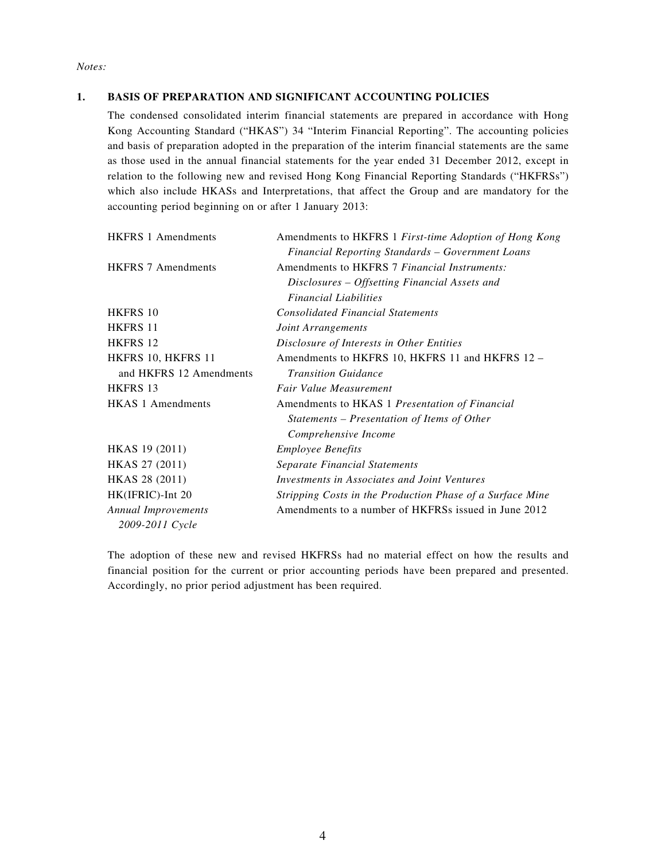*Notes:*

#### **1. BASIS OF PREPARATION AND SIGNIFICANT ACCOUNTING POLICIES**

The condensed consolidated interim financial statements are prepared in accordance with Hong Kong Accounting Standard ("HKAS") 34 "Interim Financial Reporting". The accounting policies and basis of preparation adopted in the preparation of the interim financial statements are the same as those used in the annual financial statements for the year ended 31 December 2012, except in relation to the following new and revised Hong Kong Financial Reporting Standards ("HKFRSs") which also include HKASs and Interpretations, that affect the Group and are mandatory for the accounting period beginning on or after 1 January 2013:

| <b>HKFRS 1 Amendments</b>  | Amendments to HKFRS 1 First-time Adoption of Hong Kong    |
|----------------------------|-----------------------------------------------------------|
|                            | Financial Reporting Standards - Government Loans          |
| <b>HKFRS 7 Amendments</b>  | Amendments to HKFRS 7 Financial Instruments:              |
|                            | Disclosures – Offsetting Financial Assets and             |
|                            | <i>Financial Liabilities</i>                              |
| HKFRS 10                   | <b>Consolidated Financial Statements</b>                  |
| <b>HKFRS 11</b>            | Joint Arrangements                                        |
| HKFRS 12                   | Disclosure of Interests in Other Entities                 |
| HKFRS 10, HKFRS 11         | Amendments to HKFRS 10, HKFRS 11 and HKFRS 12 -           |
| and HKFRS 12 Amendments    | <b>Transition Guidance</b>                                |
| <b>HKFRS 13</b>            | Fair Value Measurement                                    |
| <b>HKAS 1 Amendments</b>   | Amendments to HKAS 1 Presentation of Financial            |
|                            | Statements – Presentation of Items of Other               |
|                            | Comprehensive Income                                      |
| HKAS 19 (2011)             | <b>Employee Benefits</b>                                  |
| HKAS 27 (2011)             | Separate Financial Statements                             |
| HKAS 28 (2011)             | Investments in Associates and Joint Ventures              |
| HK(IFRIC)-Int 20           | Stripping Costs in the Production Phase of a Surface Mine |
| <b>Annual Improvements</b> | Amendments to a number of HKFRSs issued in June 2012      |
| 2009-2011 Cycle            |                                                           |

The adoption of these new and revised HKFRSs had no material effect on how the results and financial position for the current or prior accounting periods have been prepared and presented. Accordingly, no prior period adjustment has been required.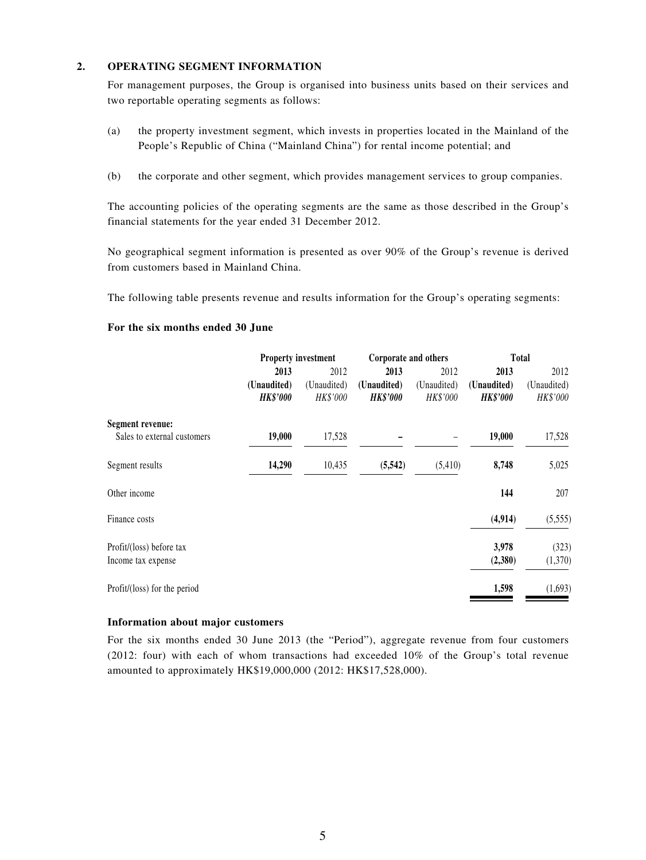#### **2. OPERATING SEGMENT INFORMATION**

For management purposes, the Group is organised into business units based on their services and two reportable operating segments as follows:

- (a) the property investment segment, which invests in properties located in the Mainland of the People's Republic of China ("Mainland China") for rental income potential; and
- (b) the corporate and other segment, which provides management services to group companies.

The accounting policies of the operating segments are the same as those described in the Group's financial statements for the year ended 31 December 2012.

No geographical segment information is presented as over 90% of the Group's revenue is derived from customers based in Mainland China.

The following table presents revenue and results information for the Group's operating segments:

#### **For the six months ended 30 June**

|                              | <b>Property investment</b> |             | Corporate and others |             | Total           |             |
|------------------------------|----------------------------|-------------|----------------------|-------------|-----------------|-------------|
|                              | 2013                       | 2012        | 2013                 | 2012        | 2013            | 2012        |
|                              | (Unaudited)                | (Unaudited) | (Unaudited)          | (Unaudited) | (Unaudited)     | (Unaudited) |
|                              | <b>HK\$'000</b>            | HK\$'000    | <b>HK\$'000</b>      | HK\$'000    | <b>HK\$'000</b> | HK\$'000    |
| Segment revenue:             |                            |             |                      |             |                 |             |
| Sales to external customers  | 19,000                     | 17,528      |                      |             | 19,000          | 17,528      |
| Segment results              | 14,290                     | 10,435      | (5,542)              | (5,410)     | 8,748           | 5,025       |
| Other income                 |                            |             |                      |             | 144             | 207         |
| Finance costs                |                            |             |                      |             | (4,914)         | (5,555)     |
| Profit/(loss) before tax     |                            |             |                      |             | 3,978           | (323)       |
| Income tax expense           |                            |             |                      |             | (2,380)         | (1,370)     |
| Profit/(loss) for the period |                            |             |                      |             | 1,598           | (1,693)     |

#### **Information about major customers**

For the six months ended 30 June 2013 (the "Period"), aggregate revenue from four customers (2012: four) with each of whom transactions had exceeded 10% of the Group's total revenue amounted to approximately HK\$19,000,000 (2012: HK\$17,528,000).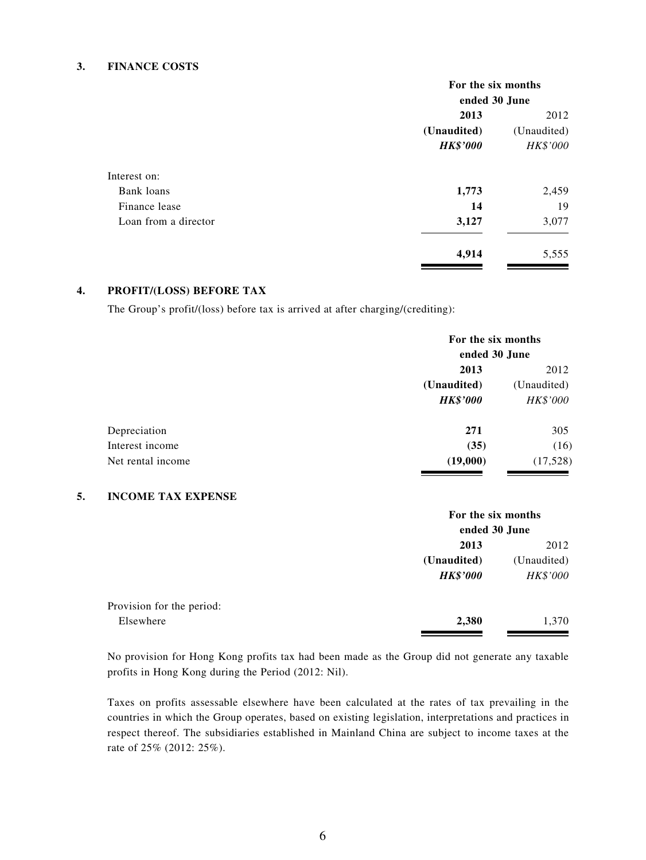#### **3. FINANCE COSTS**

|                      | For the six months |                 |  |
|----------------------|--------------------|-----------------|--|
|                      | ended 30 June      |                 |  |
|                      | 2013               | 2012            |  |
|                      | (Unaudited)        |                 |  |
|                      | <b>HK\$'000</b>    | <b>HK\$'000</b> |  |
| Interest on:         |                    |                 |  |
| Bank loans           | 1,773              | 2,459           |  |
| Finance lease        | 14                 | 19              |  |
| Loan from a director | 3,127              | 3,077           |  |
|                      | 4,914              | 5,555           |  |

#### **4. PROFIT/(LOSS) BEFORE TAX**

The Group's profit/(loss) before tax is arrived at after charging/(crediting):

|                   |                 | For the six months<br>ended 30 June |  |  |
|-------------------|-----------------|-------------------------------------|--|--|
|                   | 2013            | 2012                                |  |  |
|                   | (Unaudited)     | (Unaudited)                         |  |  |
|                   | <b>HK\$'000</b> | HK\$'000                            |  |  |
| Depreciation      | 271             | 305                                 |  |  |
| Interest income   | (35)            | (16)                                |  |  |
| Net rental income | (19,000)        | (17,528)                            |  |  |
|                   |                 |                                     |  |  |

#### **5. INCOME TAX EXPENSE**

|                           | For the six months |             |  |
|---------------------------|--------------------|-------------|--|
|                           | ended 30 June      |             |  |
|                           | 2013               | 2012        |  |
|                           | (Unaudited)        | (Unaudited) |  |
|                           | <b>HK\$'000</b>    | HK\$'000    |  |
| Provision for the period: |                    |             |  |
| Elsewhere                 | 2,380              | 1,370       |  |

No provision for Hong Kong profits tax had been made as the Group did not generate any taxable profits in Hong Kong during the Period (2012: Nil).

Taxes on profits assessable elsewhere have been calculated at the rates of tax prevailing in the countries in which the Group operates, based on existing legislation, interpretations and practices in respect thereof. The subsidiaries established in Mainland China are subject to income taxes at the rate of 25% (2012: 25%).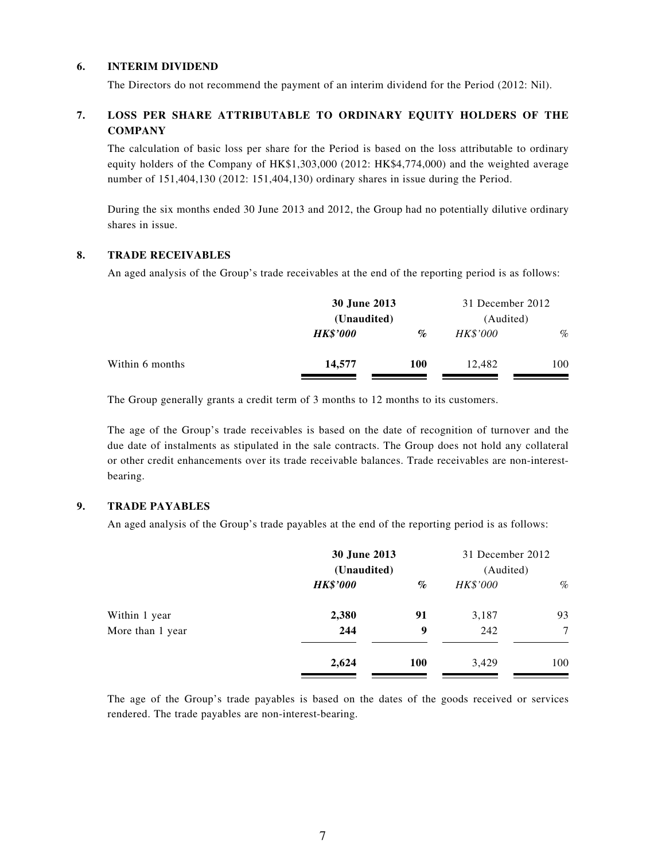#### **6. INTERIM DIVIDEND**

The Directors do not recommend the payment of an interim dividend for the Period (2012: Nil).

#### **7. LOSS PER SHARE ATTRIBUTABLE TO ORDINARY EQUITY HOLDERS OF THE COMPANY**

The calculation of basic loss per share for the Period is based on the loss attributable to ordinary equity holders of the Company of HK\$1,303,000 (2012: HK\$4,774,000) and the weighted average number of 151,404,130 (2012: 151,404,130) ordinary shares in issue during the Period.

During the six months ended 30 June 2013 and 2012, the Group had no potentially dilutive ordinary shares in issue.

#### **8. TRADE RECEIVABLES**

An aged analysis of the Group's trade receivables at the end of the reporting period is as follows:

|                 | 30 June 2013    |             | 31 December 2012 |           |  |
|-----------------|-----------------|-------------|------------------|-----------|--|
|                 |                 | (Unaudited) |                  | (Audited) |  |
|                 | <b>HK\$'000</b> | $\%$        | <b>HK\$'000</b>  | $\%$      |  |
| Within 6 months | 14,577          | <b>100</b>  | 12.482           | 100       |  |

The Group generally grants a credit term of 3 months to 12 months to its customers.

The age of the Group's trade receivables is based on the date of recognition of turnover and the due date of instalments as stipulated in the sale contracts. The Group does not hold any collateral or other credit enhancements over its trade receivable balances. Trade receivables are non-interestbearing.

#### **9. TRADE PAYABLES**

An aged analysis of the Group's trade payables at the end of the reporting period is as follows:

|                  | 30 June 2013<br>(Unaudited) |      | 31 December 2012<br>(Audited) |      |
|------------------|-----------------------------|------|-------------------------------|------|
|                  | <b>HK\$'000</b>             | $\%$ | HK\$'000                      | $\%$ |
| Within 1 year    | 2,380                       | 91   | 3,187                         | 93   |
| More than 1 year | 244                         | 9    | 242                           | 7    |
|                  | 2,624                       | 100  | 3,429                         | 100  |

The age of the Group's trade payables is based on the dates of the goods received or services rendered. The trade payables are non-interest-bearing.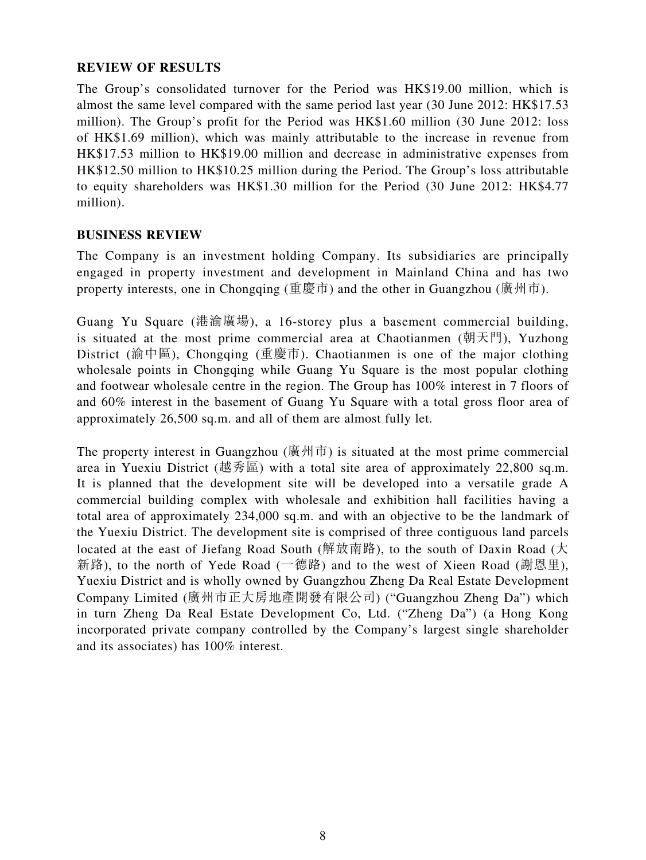### **REVIEW OF RESULTS**

The Group's consolidated turnover for the Period was HK\$19.00 million, which is almost the same level compared with the same period last year (30 June 2012: HK\$17.53 million). The Group's profit for the Period was HK\$1.60 million (30 June 2012: loss of HK\$1.69 million), which was mainly attributable to the increase in revenue from HK\$17.53 million to HK\$19.00 million and decrease in administrative expenses from HK\$12.50 million to HK\$10.25 million during the Period. The Group's loss attributable to equity shareholders was HK\$1.30 million for the Period (30 June 2012: HK\$4.77 million).

### **BUSINESS REVIEW**

The Company is an investment holding Company. Its subsidiaries are principally engaged in property investment and development in Mainland China and has two property interests, one in Chongqing (重慶市) and the other in Guangzhou (廣州市).

Guang Yu Square (港渝廣場), a 16-storey plus a basement commercial building, is situated at the most prime commercial area at Chaotianmen (朝天門), Yuzhong District (渝中區), Chongqing (重慶市). Chaotianmen is one of the major clothing wholesale points in Chongqing while Guang Yu Square is the most popular clothing and footwear wholesale centre in the region. The Group has 100% interest in 7 floors of and 60% interest in the basement of Guang Yu Square with a total gross floor area of approximately 26,500 sq.m. and all of them are almost fully let.

The property interest in Guangzhou (廣州市) is situated at the most prime commercial area in Yuexiu District (越秀區) with a total site area of approximately  $22,800$  sq.m. It is planned that the development site will be developed into a versatile grade A commercial building complex with wholesale and exhibition hall facilities having a total area of approximately 234,000 sq.m. and with an objective to be the landmark of the Yuexiu District. The development site is comprised of three contiguous land parcels located at the east of Jiefang Road South (解放南路), to the south of Daxin Road (大 新路), to the north of Yede Road (一德路) and to the west of Xieen Road (謝恩里), Yuexiu District and is wholly owned by Guangzhou Zheng Da Real Estate Development Company Limited (廣州市正大房地產開發有限公司) ("Guangzhou Zheng Da") which in turn Zheng Da Real Estate Development Co, Ltd. ("Zheng Da") (a Hong Kong incorporated private company controlled by the Company's largest single shareholder and its associates) has 100% interest.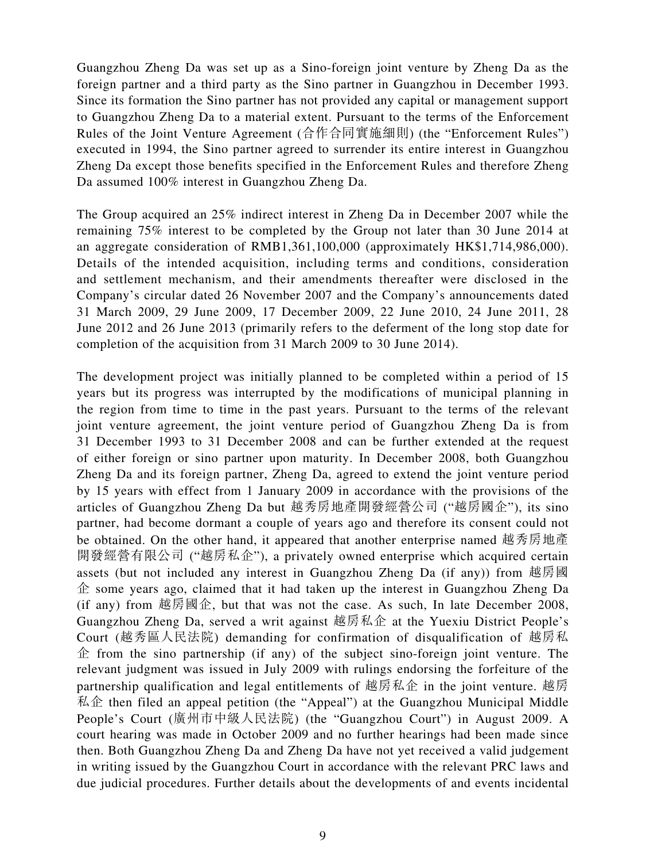Guangzhou Zheng Da was set up as a Sino-foreign joint venture by Zheng Da as the foreign partner and a third party as the Sino partner in Guangzhou in December 1993. Since its formation the Sino partner has not provided any capital or management support to Guangzhou Zheng Da to a material extent. Pursuant to the terms of the Enforcement Rules of the Joint Venture Agreement (合作合同實施細則) (the "Enforcement Rules") executed in 1994, the Sino partner agreed to surrender its entire interest in Guangzhou Zheng Da except those benefits specified in the Enforcement Rules and therefore Zheng Da assumed 100% interest in Guangzhou Zheng Da.

The Group acquired an 25% indirect interest in Zheng Da in December 2007 while the remaining 75% interest to be completed by the Group not later than 30 June 2014 at an aggregate consideration of RMB1,361,100,000 (approximately HK\$1,714,986,000). Details of the intended acquisition, including terms and conditions, consideration and settlement mechanism, and their amendments thereafter were disclosed in the Company's circular dated 26 November 2007 and the Company's announcements dated 31 March 2009, 29 June 2009, 17 December 2009, 22 June 2010, 24 June 2011, 28 June 2012 and 26 June 2013 (primarily refers to the deferment of the long stop date for completion of the acquisition from 31 March 2009 to 30 June 2014).

The development project was initially planned to be completed within a period of 15 years but its progress was interrupted by the modifications of municipal planning in the region from time to time in the past years. Pursuant to the terms of the relevant joint venture agreement, the joint venture period of Guangzhou Zheng Da is from 31 December 1993 to 31 December 2008 and can be further extended at the request of either foreign or sino partner upon maturity. In December 2008, both Guangzhou Zheng Da and its foreign partner, Zheng Da, agreed to extend the joint venture period by 15 years with effect from 1 January 2009 in accordance with the provisions of the articles of Guangzhou Zheng Da but 越秀房地產開發經營公司 ("越房國企"), its sino partner, had become dormant a couple of years ago and therefore its consent could not be obtained. On the other hand, it appeared that another enterprise named 越秀房地產 開發經營有限公司 ("越房私企"), a privately owned enterprise which acquired certain assets (but not included any interest in Guangzhou Zheng Da (if any)) from 越房國 企 some years ago, claimed that it had taken up the interest in Guangzhou Zheng Da (if any) from 越房國企, but that was not the case. As such, In late December 2008, Guangzhou Zheng Da, served a writ against 越房私企 at the Yuexiu District People's Court (越秀區人民法院) demanding for confirmation of disqualification of 越房私  $\hat{\Phi}$  from the sino partnership (if any) of the subject sino-foreign joint venture. The relevant judgment was issued in July 2009 with rulings endorsing the forfeiture of the partnership qualification and legal entitlements of 越房私企 in the joint venture. 越房  $\mathcal{R} \hat{\mathcal{L}}$  then filed an appeal petition (the "Appeal") at the Guangzhou Municipal Middle People's Court (廣州市中級人民法院) (the "Guangzhou Court") in August 2009. A court hearing was made in October 2009 and no further hearings had been made since then. Both Guangzhou Zheng Da and Zheng Da have not yet received a valid judgement in writing issued by the Guangzhou Court in accordance with the relevant PRC laws and due judicial procedures. Further details about the developments of and events incidental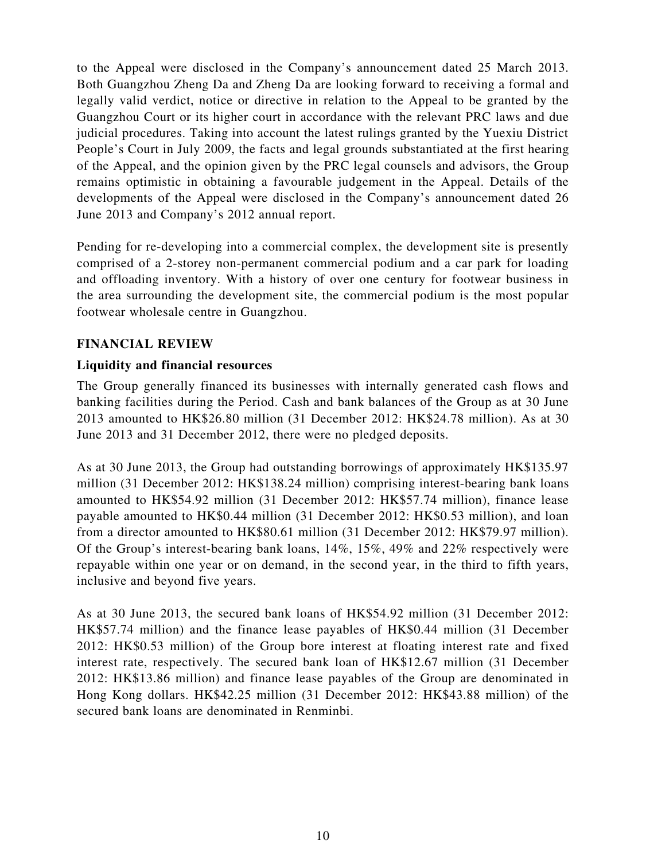to the Appeal were disclosed in the Company's announcement dated 25 March 2013. Both Guangzhou Zheng Da and Zheng Da are looking forward to receiving a formal and legally valid verdict, notice or directive in relation to the Appeal to be granted by the Guangzhou Court or its higher court in accordance with the relevant PRC laws and due judicial procedures. Taking into account the latest rulings granted by the Yuexiu District People's Court in July 2009, the facts and legal grounds substantiated at the first hearing of the Appeal, and the opinion given by the PRC legal counsels and advisors, the Group remains optimistic in obtaining a favourable judgement in the Appeal. Details of the developments of the Appeal were disclosed in the Company's announcement dated 26 June 2013 and Company's 2012 annual report.

Pending for re-developing into a commercial complex, the development site is presently comprised of a 2-storey non-permanent commercial podium and a car park for loading and offloading inventory. With a history of over one century for footwear business in the area surrounding the development site, the commercial podium is the most popular footwear wholesale centre in Guangzhou.

### **FINANCIAL REVIEW**

### **Liquidity and financial resources**

The Group generally financed its businesses with internally generated cash flows and banking facilities during the Period. Cash and bank balances of the Group as at 30 June 2013 amounted to HK\$26.80 million (31 December 2012: HK\$24.78 million). As at 30 June 2013 and 31 December 2012, there were no pledged deposits.

As at 30 June 2013, the Group had outstanding borrowings of approximately HK\$135.97 million (31 December 2012: HK\$138.24 million) comprising interest-bearing bank loans amounted to HK\$54.92 million (31 December 2012: HK\$57.74 million), finance lease payable amounted to HK\$0.44 million (31 December 2012: HK\$0.53 million), and loan from a director amounted to HK\$80.61 million (31 December 2012: HK\$79.97 million). Of the Group's interest-bearing bank loans, 14%, 15%, 49% and 22% respectively were repayable within one year or on demand, in the second year, in the third to fifth years, inclusive and beyond five years.

As at 30 June 2013, the secured bank loans of HK\$54.92 million (31 December 2012: HK\$57.74 million) and the finance lease payables of HK\$0.44 million (31 December 2012: HK\$0.53 million) of the Group bore interest at floating interest rate and fixed interest rate, respectively. The secured bank loan of HK\$12.67 million (31 December 2012: HK\$13.86 million) and finance lease payables of the Group are denominated in Hong Kong dollars. HK\$42.25 million (31 December 2012: HK\$43.88 million) of the secured bank loans are denominated in Renminbi.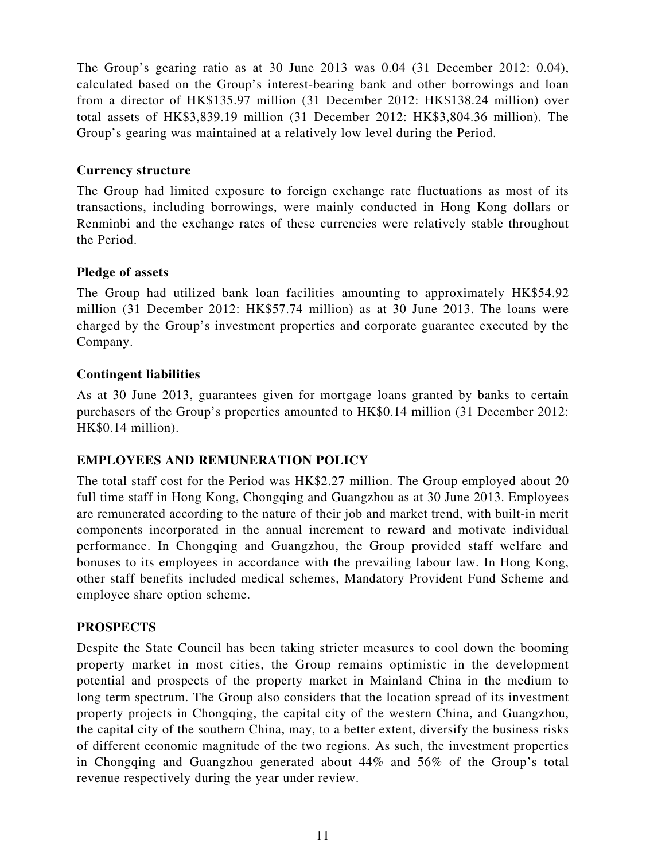The Group's gearing ratio as at 30 June 2013 was 0.04 (31 December 2012: 0.04), calculated based on the Group's interest-bearing bank and other borrowings and loan from a director of HK\$135.97 million (31 December 2012: HK\$138.24 million) over total assets of HK\$3,839.19 million (31 December 2012: HK\$3,804.36 million). The Group's gearing was maintained at a relatively low level during the Period.

### **Currency structure**

The Group had limited exposure to foreign exchange rate fluctuations as most of its transactions, including borrowings, were mainly conducted in Hong Kong dollars or Renminbi and the exchange rates of these currencies were relatively stable throughout the Period.

### **Pledge of assets**

The Group had utilized bank loan facilities amounting to approximately HK\$54.92 million (31 December 2012: HK\$57.74 million) as at 30 June 2013. The loans were charged by the Group's investment properties and corporate guarantee executed by the Company.

### **Contingent liabilities**

As at 30 June 2013, guarantees given for mortgage loans granted by banks to certain purchasers of the Group's properties amounted to HK\$0.14 million (31 December 2012: HK\$0.14 million).

# **EMPLOYEES AND REMUNERATION POLICY**

The total staff cost for the Period was HK\$2.27 million. The Group employed about 20 full time staff in Hong Kong, Chongqing and Guangzhou as at 30 June 2013. Employees are remunerated according to the nature of their job and market trend, with built-in merit components incorporated in the annual increment to reward and motivate individual performance. In Chongqing and Guangzhou, the Group provided staff welfare and bonuses to its employees in accordance with the prevailing labour law. In Hong Kong, other staff benefits included medical schemes, Mandatory Provident Fund Scheme and employee share option scheme.

### **PROSPECTS**

Despite the State Council has been taking stricter measures to cool down the booming property market in most cities, the Group remains optimistic in the development potential and prospects of the property market in Mainland China in the medium to long term spectrum. The Group also considers that the location spread of its investment property projects in Chongqing, the capital city of the western China, and Guangzhou, the capital city of the southern China, may, to a better extent, diversify the business risks of different economic magnitude of the two regions. As such, the investment properties in Chongqing and Guangzhou generated about 44% and 56% of the Group's total revenue respectively during the year under review.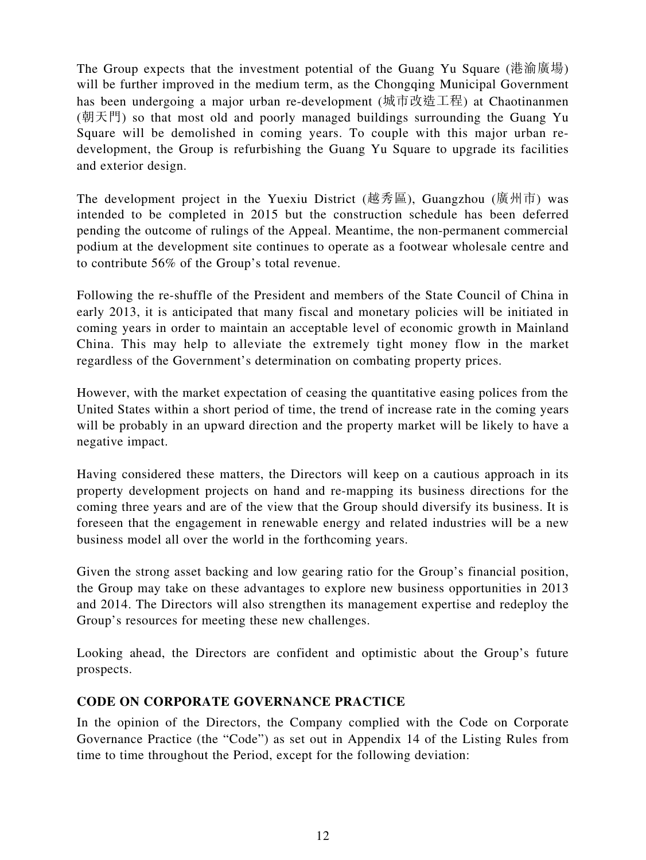The Group expects that the investment potential of the Guang Yu Square (港渝廣場) will be further improved in the medium term, as the Chongqing Municipal Government has been undergoing a major urban re-development (城市改造工程) at Chaotinanmen (朝天門) so that most old and poorly managed buildings surrounding the Guang Yu Square will be demolished in coming years. To couple with this major urban redevelopment, the Group is refurbishing the Guang Yu Square to upgrade its facilities and exterior design.

The development project in the Yuexiu District (越秀區), Guangzhou (廣州市) was intended to be completed in 2015 but the construction schedule has been deferred pending the outcome of rulings of the Appeal. Meantime, the non-permanent commercial podium at the development site continues to operate as a footwear wholesale centre and to contribute 56% of the Group's total revenue.

Following the re-shuffle of the President and members of the State Council of China in early 2013, it is anticipated that many fiscal and monetary policies will be initiated in coming years in order to maintain an acceptable level of economic growth in Mainland China. This may help to alleviate the extremely tight money flow in the market regardless of the Government's determination on combating property prices.

However, with the market expectation of ceasing the quantitative easing polices from the United States within a short period of time, the trend of increase rate in the coming years will be probably in an upward direction and the property market will be likely to have a negative impact.

Having considered these matters, the Directors will keep on a cautious approach in its property development projects on hand and re-mapping its business directions for the coming three years and are of the view that the Group should diversify its business. It is foreseen that the engagement in renewable energy and related industries will be a new business model all over the world in the forthcoming years.

Given the strong asset backing and low gearing ratio for the Group's financial position, the Group may take on these advantages to explore new business opportunities in 2013 and 2014. The Directors will also strengthen its management expertise and redeploy the Group's resources for meeting these new challenges.

Looking ahead, the Directors are confident and optimistic about the Group's future prospects.

# **CODE ON CORPORATE GOVERNANCE PRACTICE**

In the opinion of the Directors, the Company complied with the Code on Corporate Governance Practice (the "Code") as set out in Appendix 14 of the Listing Rules from time to time throughout the Period, except for the following deviation: